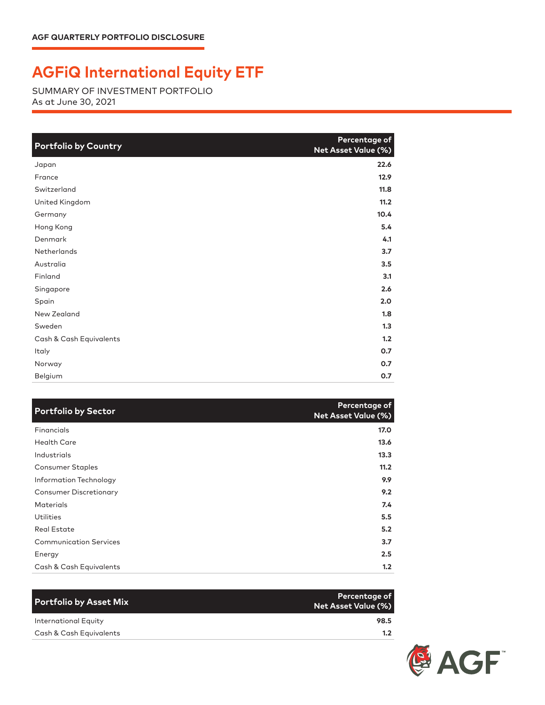## **AGFiQ International Equity ETF**

SUMMARY OF INVESTMENT PORTFOLIO As at June 30, 2021

| <b>Portfolio by Country</b> | Percentage of<br><b>Net Asset Value (%)</b> |
|-----------------------------|---------------------------------------------|
| Japan                       | 22.6                                        |
| France                      | 12.9                                        |
| Switzerland                 | 11.8                                        |
| United Kingdom              | 11.2                                        |
| Germany                     | 10.4                                        |
| Hong Kong                   | 5.4                                         |
| Denmark                     | 4.1                                         |
| Netherlands                 | 3.7                                         |
| Australia                   | 3.5                                         |
| Finland                     | 3.1                                         |
| Singapore                   | 2.6                                         |
| Spain                       | 2.0                                         |
| New Zealand                 | 1.8                                         |
| Sweden                      | 1.3                                         |
| Cash & Cash Equivalents     | 1.2                                         |
| Italy                       | 0.7                                         |
| Norway                      | O.7                                         |
| Belgium                     | 0.7                                         |

| <b>Portfolio by Sector</b>    | Percentage of<br><b>Net Asset Value (%)</b> |
|-------------------------------|---------------------------------------------|
| Financials                    | 17.0                                        |
| <b>Health Care</b>            | 13.6                                        |
| Industrials                   | 13.3                                        |
| <b>Consumer Staples</b>       | 11.2                                        |
| Information Technology        | 9.9                                         |
| <b>Consumer Discretionary</b> | 9.2                                         |
| <b>Materials</b>              | 7.4                                         |
| Utilities                     | 5.5                                         |
| <b>Real Estate</b>            | 5.2                                         |
| <b>Communication Services</b> | 3.7                                         |
| Energy                        | 2.5                                         |
| Cash & Cash Equivalents       | 1.2                                         |

| <b>Portfolio by Asset Mix</b> | Percentage of<br>Net Asset Value (%) |
|-------------------------------|--------------------------------------|
| International Equity          | 98.5                                 |
| Cash & Cash Equivalents       | 1.2 <sub>1</sub>                     |